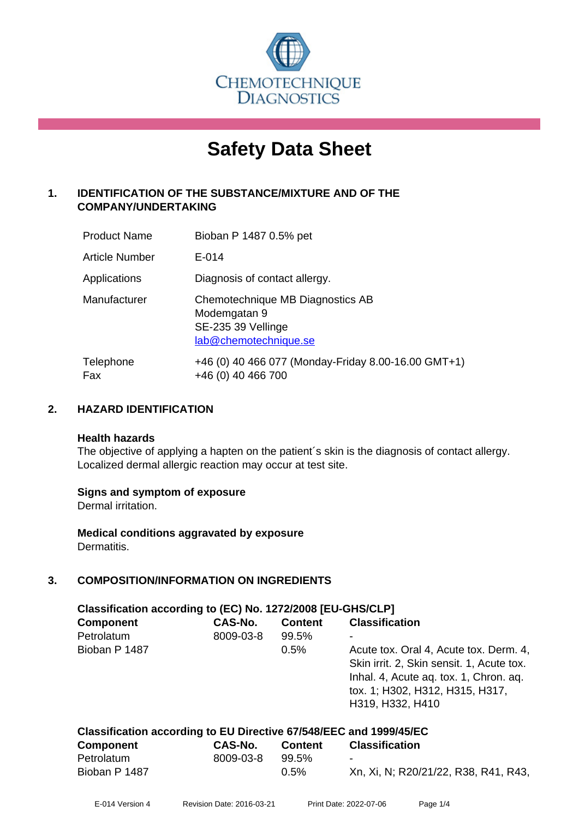

# **Safety Data Sheet**

## **1. IDENTIFICATION OF THE SUBSTANCE/MIXTURE AND OF THE COMPANY/UNDERTAKING**

| <b>Product Name</b>   | Bioban P 1487 0.5% pet                                                                          |
|-----------------------|-------------------------------------------------------------------------------------------------|
| <b>Article Number</b> | $E - 014$                                                                                       |
| Applications          | Diagnosis of contact allergy.                                                                   |
| Manufacturer          | Chemotechnique MB Diagnostics AB<br>Modemgatan 9<br>SE-235 39 Vellinge<br>lab@chemotechnique.se |
| Telephone<br>Fax      | +46 (0) 40 466 077 (Monday-Friday 8.00-16.00 GMT+1)<br>+46 (0) 40 466 700                       |

## **2. HAZARD IDENTIFICATION**

#### **Health hazards**

The objective of applying a hapten on the patient's skin is the diagnosis of contact allergy. Localized dermal allergic reaction may occur at test site.

## **Signs and symptom of exposure**

Dermal irritation.

**Medical conditions aggravated by exposure** Dermatitis.

## **3. COMPOSITION/INFORMATION ON INGREDIENTS**

| Classification according to (EC) No. 1272/2008 [EU-GHS/CLP]         |           |                |                                                                                                                                                                                      |  |
|---------------------------------------------------------------------|-----------|----------------|--------------------------------------------------------------------------------------------------------------------------------------------------------------------------------------|--|
| <b>Component</b>                                                    | CAS-No.   | <b>Content</b> | <b>Classification</b>                                                                                                                                                                |  |
| Petrolatum                                                          | 8009-03-8 | 99.5%          |                                                                                                                                                                                      |  |
| Bioban P 1487                                                       |           | 0.5%           | Acute tox. Oral 4, Acute tox. Derm. 4,<br>Skin irrit. 2, Skin sensit. 1, Acute tox.<br>Inhal. 4, Acute ag. tox. 1, Chron. ag.<br>tox. 1; H302, H312, H315, H317,<br>H319, H332, H410 |  |
| Classification according to FII Directive 67/548/FFC and 1999/45/FC |           |                |                                                                                                                                                                                      |  |

| <b>Component</b> | CAS-No.   | Content | <b>Classification</b>                |  |
|------------------|-----------|---------|--------------------------------------|--|
| Petrolatum       | 8009-03-8 | 99.5%   | $\sim$                               |  |
| Bioban P 1487    |           | $0.5\%$ | Xn, Xi, N; R20/21/22, R38, R41, R43, |  |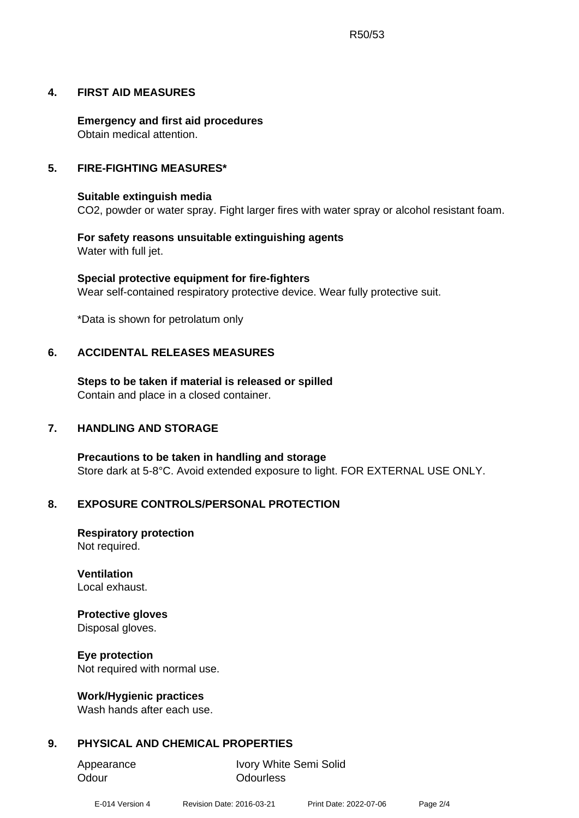## **4. FIRST AID MEASURES**

**Emergency and first aid procedures** Obtain medical attention.

## **5. FIRE-FIGHTING MEASURES\***

## **Suitable extinguish media**

CO2, powder or water spray. Fight larger fires with water spray or alcohol resistant foam.

**For safety reasons unsuitable extinguishing agents** Water with full jet.

**Special protective equipment for fire-fighters** Wear self-contained respiratory protective device. Wear fully protective suit.

\*Data is shown for petrolatum only

## **6. ACCIDENTAL RELEASES MEASURES**

**Steps to be taken if material is released or spilled** Contain and place in a closed container.

#### **7. HANDLING AND STORAGE**

**Precautions to be taken in handling and storage** Store dark at 5-8°C. Avoid extended exposure to light. FOR EXTERNAL USE ONLY.

#### **8. EXPOSURE CONTROLS/PERSONAL PROTECTION**

**Respiratory protection** Not required.

**Ventilation** Local exhaust.

## **Protective gloves**

Disposal gloves.

**Eye protection**

Not required with normal use.

#### **Work/Hygienic practices**

Wash hands after each use.

## **9. PHYSICAL AND CHEMICAL PROPERTIES**

Odour **Odourless** 

Appearance Ivory White Semi Solid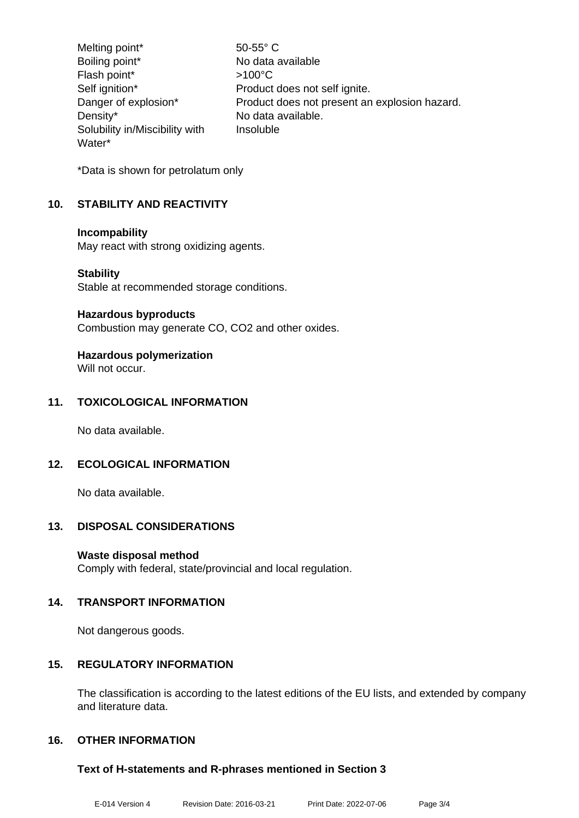Melting point\* 50-55° C Boiling point\* No data available Flash point\* >100°C Self ignition\* Product does not self ignite. Danger of explosion\* Product does not present an explosion hazard. Density\* No data available. Solubility in/Miscibility with Water\* Insoluble

\*Data is shown for petrolatum only

## **10. STABILITY AND REACTIVITY**

## **Incompability**

May react with strong oxidizing agents.

## **Stability**

Stable at recommended storage conditions.

#### **Hazardous byproducts**

Combustion may generate CO, CO2 and other oxides.

## **Hazardous polymerization**

Will not occur.

## **11. TOXICOLOGICAL INFORMATION**

No data available.

## **12. ECOLOGICAL INFORMATION**

No data available.

## **13. DISPOSAL CONSIDERATIONS**

## **Waste disposal method**

Comply with federal, state/provincial and local regulation.

## **14. TRANSPORT INFORMATION**

Not dangerous goods.

## **15. REGULATORY INFORMATION**

The classification is according to the latest editions of the EU lists, and extended by company and literature data.

## **16. OTHER INFORMATION**

## **Text of H-statements and R-phrases mentioned in Section 3**